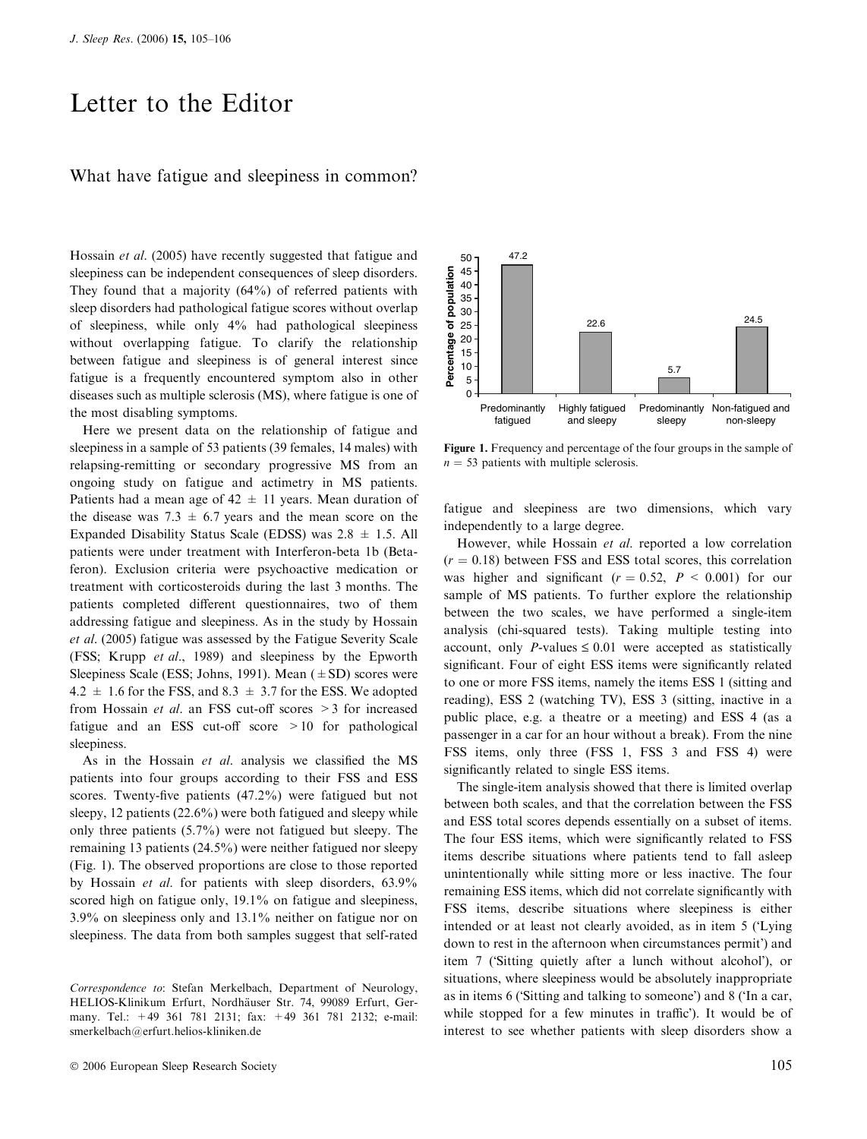## Letter to the Editor

## What have fatigue and sleepiness in common?

Hossain et al. (2005) have recently suggested that fatigue and sleepiness can be independent consequences of sleep disorders. They found that a majority (64%) of referred patients with sleep disorders had pathological fatigue scores without overlap of sleepiness, while only 4% had pathological sleepiness without overlapping fatigue. To clarify the relationship between fatigue and sleepiness is of general interest since fatigue is a frequently encountered symptom also in other diseases such as multiple sclerosis (MS), where fatigue is one of the most disabling symptoms.

Here we present data on the relationship of fatigue and sleepiness in a sample of 53 patients (39 females, 14 males) with relapsing-remitting or secondary progressive MS from an ongoing study on fatigue and actimetry in MS patients. Patients had a mean age of  $42 \pm 11$  years. Mean duration of the disease was  $7.3 \pm 6.7$  years and the mean score on the Expanded Disability Status Scale (EDSS) was  $2.8 \pm 1.5$ . All patients were under treatment with Interferon-beta 1b (Betaferon). Exclusion criteria were psychoactive medication or treatment with corticosteroids during the last 3 months. The patients completed different questionnaires, two of them addressing fatigue and sleepiness. As in the study by Hossain et al. (2005) fatigue was assessed by the Fatigue Severity Scale (FSS; Krupp et al., 1989) and sleepiness by the Epworth Sleepiness Scale (ESS; Johns, 1991). Mean  $(\pm SD)$  scores were  $4.2 \pm 1.6$  for the FSS, and  $8.3 \pm 3.7$  for the ESS. We adopted from Hossain et al. an FSS cut-off scores >3 for increased fatigue and an ESS cut-off score >10 for pathological sleepiness.

As in the Hossain et al. analysis we classified the MS patients into four groups according to their FSS and ESS scores. Twenty-five patients (47.2%) were fatigued but not sleepy, 12 patients (22.6%) were both fatigued and sleepy while only three patients (5.7%) were not fatigued but sleepy. The remaining 13 patients (24.5%) were neither fatigued nor sleepy (Fig. 1). The observed proportions are close to those reported by Hossain et al. for patients with sleep disorders, 63.9% scored high on fatigue only, 19.1% on fatigue and sleepiness, 3.9% on sleepiness only and 13.1% neither on fatigue nor on sleepiness. The data from both samples suggest that self-rated



Figure 1. Frequency and percentage of the four groups in the sample of  $n = 53$  patients with multiple sclerosis.

fatigue and sleepiness are two dimensions, which vary independently to a large degree.

However, while Hossain et al. reported a low correlation  $(r = 0.18)$  between FSS and ESS total scores, this correlation was higher and significant ( $r = 0.52$ ,  $P < 0.001$ ) for our sample of MS patients. To further explore the relationship between the two scales, we have performed a single-item analysis (chi-squared tests). Taking multiple testing into account, only P-values  $\leq 0.01$  were accepted as statistically significant. Four of eight ESS items were significantly related to one or more FSS items, namely the items ESS 1 (sitting and reading), ESS 2 (watching TV), ESS 3 (sitting, inactive in a public place, e.g. a theatre or a meeting) and ESS 4 (as a passenger in a car for an hour without a break). From the nine FSS items, only three (FSS 1, FSS 3 and FSS 4) were significantly related to single ESS items.

The single-item analysis showed that there is limited overlap between both scales, and that the correlation between the FSS and ESS total scores depends essentially on a subset of items. The four ESS items, which were significantly related to FSS items describe situations where patients tend to fall asleep unintentionally while sitting more or less inactive. The four remaining ESS items, which did not correlate significantly with FSS items, describe situations where sleepiness is either intended or at least not clearly avoided, as in item 5 (Lying down to rest in the afternoon when circumstances permit') and item 7 ('Sitting quietly after a lunch without alcohol'), or situations, where sleepiness would be absolutely inappropriate as in items 6 ('Sitting and talking to someone') and 8 ('In a car, while stopped for a few minutes in traffic'). It would be of interest to see whether patients with sleep disorders show a

Correspondence to: Stefan Merkelbach, Department of Neurology, HELIOS-Klinikum Erfurt, Nordhäuser Str. 74, 99089 Erfurt, Germany. Tel.: +49 361 781 2131; fax: +49 361 781 2132; e-mail: smerkelbach@erfurt.helios-kliniken.de